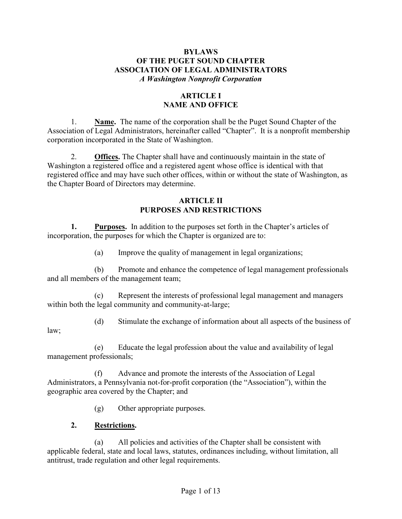### BYLAWS OF THE PUGET SOUND CHAPTER ASSOCIATION OF LEGAL ADMINISTRATORS A Washington Nonprofit Corporation

# ARTICLE I NAME AND OFFICE

1. Name. The name of the corporation shall be the Puget Sound Chapter of the Association of Legal Administrators, hereinafter called "Chapter". It is a nonprofit membership corporation incorporated in the State of Washington.

2. **Offices.** The Chapter shall have and continuously maintain in the state of Washington a registered office and a registered agent whose office is identical with that registered office and may have such other offices, within or without the state of Washington, as the Chapter Board of Directors may determine.

### ARTICLE II PURPOSES AND RESTRICTIONS

1. Purposes. In addition to the purposes set forth in the Chapter's articles of incorporation, the purposes for which the Chapter is organized are to:

(a) Improve the quality of management in legal organizations;

(b) Promote and enhance the competence of legal management professionals and all members of the management team;

(c) Represent the interests of professional legal management and managers within both the legal community and community-at-large;

(d) Stimulate the exchange of information about all aspects of the business of

law;

(e) Educate the legal profession about the value and availability of legal management professionals;

(f) Advance and promote the interests of the Association of Legal Administrators, a Pennsylvania not-for-profit corporation (the "Association"), within the geographic area covered by the Chapter; and

(g) Other appropriate purposes.

# 2. Restrictions.

(a) All policies and activities of the Chapter shall be consistent with applicable federal, state and local laws, statutes, ordinances including, without limitation, all antitrust, trade regulation and other legal requirements.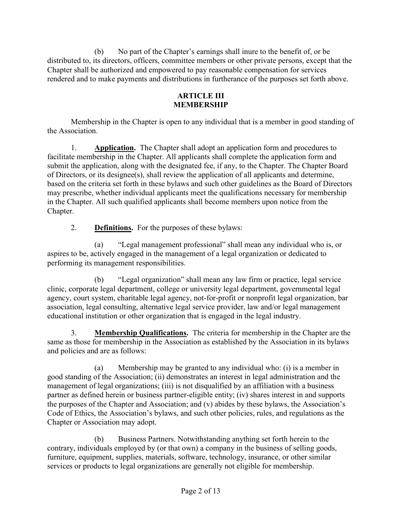(b) No part of the Chapter's earnings shall inure to the benefit of, or be distributed to, its directors, officers, committee members or other private persons, except that the Chapter shall be authorized and empowered to pay reasonable compensation for services rendered and to make payments and distributions in furtherance of the purposes set forth above.

# ARTICLE III MEMBERSHIP

Membership in the Chapter is open to any individual that is a member in good standing of the Association.

1. Application. The Chapter shall adopt an application form and procedures to facilitate membership in the Chapter. All applicants shall complete the application form and submit the application, along with the designated fee, if any, to the Chapter. The Chapter Board of Directors, or its designee(s), shall review the application of all applicants and determine, based on the criteria set forth in these bylaws and such other guidelines as the Board of Directors may prescribe, whether individual applicants meet the qualifications necessary for membership in the Chapter. All such qualified applicants shall become members upon notice from the Chapter.

2. Definitions. For the purposes of these bylaws:

(a) "Legal management professional" shall mean any individual who is, or aspires to be, actively engaged in the management of a legal organization or dedicated to performing its management responsibilities.

(b) "Legal organization" shall mean any law firm or practice, legal service clinic, corporate legal department, college or university legal department, governmental legal agency, court system, charitable legal agency, not-for-profit or nonprofit legal organization, bar association, legal consulting, alternative legal service provider, law and/or legal management educational institution or other organization that is engaged in the legal industry.

3. Membership Qualifications. The criteria for membership in the Chapter are the same as those for membership in the Association as established by the Association in its bylaws and policies and are as follows:

(a) Membership may be granted to any individual who: (i) is a member in good standing of the Association; (ii) demonstrates an interest in legal administration and the management of legal organizations; (iii) is not disqualified by an affiliation with a business partner as defined herein or business partner-eligible entity; (iv) shares interest in and supports the purposes of the Chapter and Association; and (v) abides by these bylaws, the Association's Code of Ethics, the Association's bylaws, and such other policies, rules, and regulations as the Chapter or Association may adopt.

(b) Business Partners. Notwithstanding anything set forth herein to the contrary, individuals employed by (or that own) a company in the business of selling goods, furniture, equipment, supplies, materials, software, technology, insurance, or other similar services or products to legal organizations are generally not eligible for membership.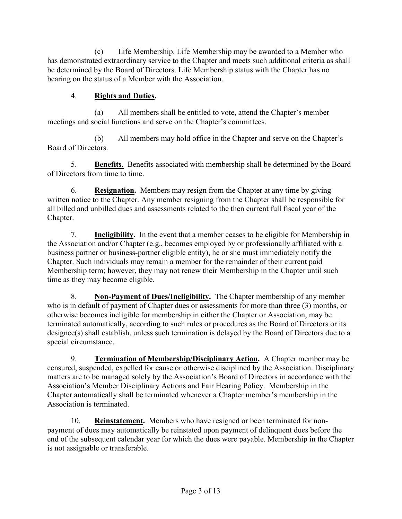(c) Life Membership. Life Membership may be awarded to a Member who has demonstrated extraordinary service to the Chapter and meets such additional criteria as shall be determined by the Board of Directors. Life Membership status with the Chapter has no bearing on the status of a Member with the Association.

# 4. Rights and Duties.

(a) All members shall be entitled to vote, attend the Chapter's member meetings and social functions and serve on the Chapter's committees.

(b) All members may hold office in the Chapter and serve on the Chapter's Board of Directors.

5. Benefits. Benefits associated with membership shall be determined by the Board of Directors from time to time.

6. Resignation. Members may resign from the Chapter at any time by giving written notice to the Chapter. Any member resigning from the Chapter shall be responsible for all billed and unbilled dues and assessments related to the then current full fiscal year of the Chapter.

7. Ineligibility. In the event that a member ceases to be eligible for Membership in the Association and/or Chapter (e.g., becomes employed by or professionally affiliated with a business partner or business-partner eligible entity), he or she must immediately notify the Chapter. Such individuals may remain a member for the remainder of their current paid Membership term; however, they may not renew their Membership in the Chapter until such time as they may become eligible.

8. Non-Payment of Dues/Ineligibility. The Chapter membership of any member who is in default of payment of Chapter dues or assessments for more than three (3) months, or otherwise becomes ineligible for membership in either the Chapter or Association, may be terminated automatically, according to such rules or procedures as the Board of Directors or its designee(s) shall establish, unless such termination is delayed by the Board of Directors due to a special circumstance.

9. Termination of Membership/Disciplinary Action. A Chapter member may be censured, suspended, expelled for cause or otherwise disciplined by the Association. Disciplinary matters are to be managed solely by the Association's Board of Directors in accordance with the Association's Member Disciplinary Actions and Fair Hearing Policy. Membership in the Chapter automatically shall be terminated whenever a Chapter member's membership in the Association is terminated.

10. Reinstatement. Members who have resigned or been terminated for nonpayment of dues may automatically be reinstated upon payment of delinquent dues before the end of the subsequent calendar year for which the dues were payable. Membership in the Chapter is not assignable or transferable.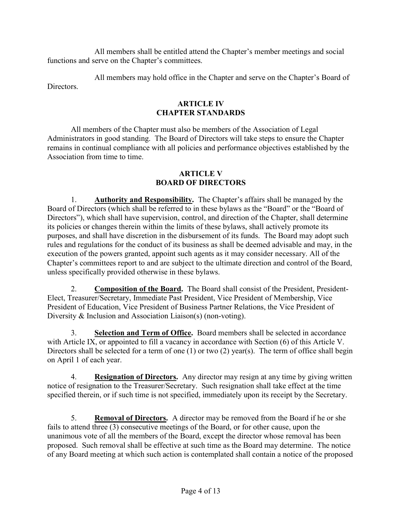All members shall be entitled attend the Chapter's member meetings and social functions and serve on the Chapter's committees.

All members may hold office in the Chapter and serve on the Chapter's Board of Directors.

# ARTICLE IV CHAPTER STANDARDS

All members of the Chapter must also be members of the Association of Legal Administrators in good standing. The Board of Directors will take steps to ensure the Chapter remains in continual compliance with all policies and performance objectives established by the Association from time to time.

### ARTICLE V BOARD OF DIRECTORS

1. Authority and Responsibility. The Chapter's affairs shall be managed by the Board of Directors (which shall be referred to in these bylaws as the "Board" or the "Board of Directors"), which shall have supervision, control, and direction of the Chapter, shall determine its policies or changes therein within the limits of these bylaws, shall actively promote its purposes, and shall have discretion in the disbursement of its funds. The Board may adopt such rules and regulations for the conduct of its business as shall be deemed advisable and may, in the execution of the powers granted, appoint such agents as it may consider necessary. All of the Chapter's committees report to and are subject to the ultimate direction and control of the Board, unless specifically provided otherwise in these bylaws.

2. Composition of the Board. The Board shall consist of the President, President-Elect, Treasurer/Secretary, Immediate Past President, Vice President of Membership, Vice President of Education, Vice President of Business Partner Relations, the Vice President of Diversity & Inclusion and Association Liaison(s) (non-voting).

3. Selection and Term of Office. Board members shall be selected in accordance with Article IX, or appointed to fill a vacancy in accordance with Section (6) of this Article V. Directors shall be selected for a term of one (1) or two (2) year(s). The term of office shall begin on April 1 of each year.

4. Resignation of Directors. Any director may resign at any time by giving written notice of resignation to the Treasurer/Secretary. Such resignation shall take effect at the time specified therein, or if such time is not specified, immediately upon its receipt by the Secretary.

5. Removal of Directors. A director may be removed from the Board if he or she fails to attend three (3) consecutive meetings of the Board, or for other cause, upon the unanimous vote of all the members of the Board, except the director whose removal has been proposed. Such removal shall be effective at such time as the Board may determine. The notice of any Board meeting at which such action is contemplated shall contain a notice of the proposed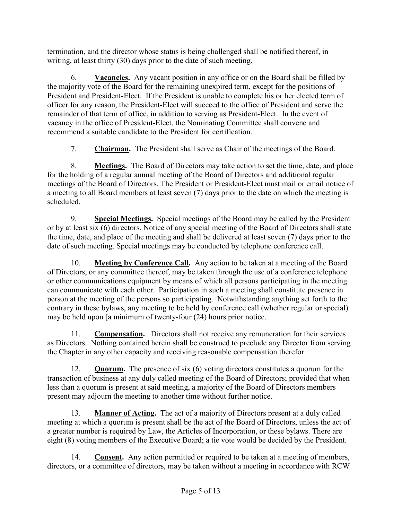termination, and the director whose status is being challenged shall be notified thereof, in writing, at least thirty (30) days prior to the date of such meeting.

6. Vacancies. Any vacant position in any office or on the Board shall be filled by the majority vote of the Board for the remaining unexpired term, except for the positions of President and President-Elect. If the President is unable to complete his or her elected term of officer for any reason, the President-Elect will succeed to the office of President and serve the remainder of that term of office, in addition to serving as President-Elect. In the event of vacancy in the office of President-Elect, the Nominating Committee shall convene and recommend a suitable candidate to the President for certification.

7. Chairman. The President shall serve as Chair of the meetings of the Board.

8. Meetings. The Board of Directors may take action to set the time, date, and place for the holding of a regular annual meeting of the Board of Directors and additional regular meetings of the Board of Directors. The President or President-Elect must mail or email notice of a meeting to all Board members at least seven (7) days prior to the date on which the meeting is scheduled.

9. Special Meetings. Special meetings of the Board may be called by the President or by at least six (6) directors. Notice of any special meeting of the Board of Directors shall state the time, date, and place of the meeting and shall be delivered at least seven (7) days prior to the date of such meeting. Special meetings may be conducted by telephone conference call.

10. Meeting by Conference Call. Any action to be taken at a meeting of the Board of Directors, or any committee thereof, may be taken through the use of a conference telephone or other communications equipment by means of which all persons participating in the meeting can communicate with each other. Participation in such a meeting shall constitute presence in person at the meeting of the persons so participating. Notwithstanding anything set forth to the contrary in these bylaws, any meeting to be held by conference call (whether regular or special) may be held upon [a minimum of twenty-four (24) hours prior notice.

11. Compensation. Directors shall not receive any remuneration for their services as Directors. Nothing contained herein shall be construed to preclude any Director from serving the Chapter in any other capacity and receiving reasonable compensation therefor.

12. Quorum. The presence of six (6) voting directors constitutes a quorum for the transaction of business at any duly called meeting of the Board of Directors; provided that when less than a quorum is present at said meeting, a majority of the Board of Directors members present may adjourn the meeting to another time without further notice.

13. Manner of Acting. The act of a majority of Directors present at a duly called meeting at which a quorum is present shall be the act of the Board of Directors, unless the act of a greater number is required by Law, the Articles of Incorporation, or these bylaws. There are eight (8) voting members of the Executive Board; a tie vote would be decided by the President.

14. Consent. Any action permitted or required to be taken at a meeting of members, directors, or a committee of directors, may be taken without a meeting in accordance with RCW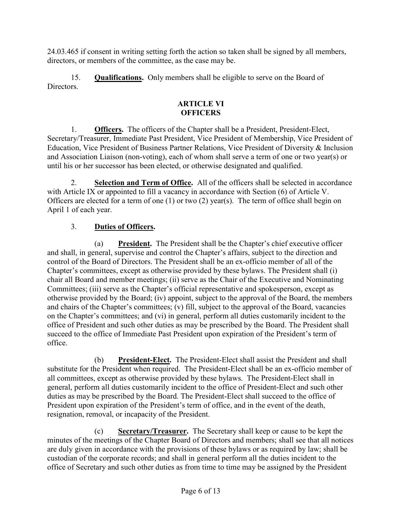24.03.465 if consent in writing setting forth the action so taken shall be signed by all members, directors, or members of the committee, as the case may be.

15. Qualifications. Only members shall be eligible to serve on the Board of Directors.

# ARTICLE VI **OFFICERS**

1. Officers. The officers of the Chapter shall be a President, President-Elect, Secretary/Treasurer, Immediate Past President, Vice President of Membership, Vice President of Education, Vice President of Business Partner Relations, Vice President of Diversity & Inclusion and Association Liaison (non-voting), each of whom shall serve a term of one or two year(s) or until his or her successor has been elected, or otherwise designated and qualified.

2. Selection and Term of Office. All of the officers shall be selected in accordance with Article IX or appointed to fill a vacancy in accordance with Section (6) of Article V. Officers are elected for a term of one (1) or two (2) year(s). The term of office shall begin on April 1 of each year.

# 3. Duties of Officers.

(a) President. The President shall be the Chapter's chief executive officer and shall, in general, supervise and control the Chapter's affairs, subject to the direction and control of the Board of Directors. The President shall be an ex-officio member of all of the Chapter's committees, except as otherwise provided by these bylaws. The President shall (i) chair all Board and member meetings; (ii) serve as the Chair of the Executive and Nominating Committees; (iii) serve as the Chapter's official representative and spokesperson, except as otherwise provided by the Board; (iv) appoint, subject to the approval of the Board, the members and chairs of the Chapter's committees; (v) fill, subject to the approval of the Board, vacancies on the Chapter's committees; and (vi) in general, perform all duties customarily incident to the office of President and such other duties as may be prescribed by the Board. The President shall succeed to the office of Immediate Past President upon expiration of the President's term of office.

(b) President-Elect. The President-Elect shall assist the President and shall substitute for the President when required. The President-Elect shall be an ex-officio member of all committees, except as otherwise provided by these bylaws. The President-Elect shall in general, perform all duties customarily incident to the office of President-Elect and such other duties as may be prescribed by the Board. The President-Elect shall succeed to the office of President upon expiration of the President's term of office, and in the event of the death, resignation, removal, or incapacity of the President.

(c) Secretary/Treasurer. The Secretary shall keep or cause to be kept the minutes of the meetings of the Chapter Board of Directors and members; shall see that all notices are duly given in accordance with the provisions of these bylaws or as required by law; shall be custodian of the corporate records; and shall in general perform all the duties incident to the office of Secretary and such other duties as from time to time may be assigned by the President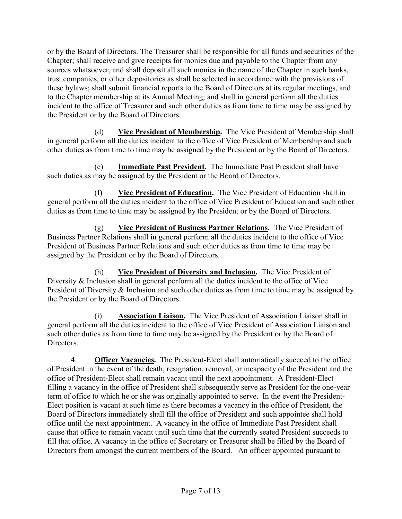or by the Board of Directors. The Treasurer shall be responsible for all funds and securities of the Chapter; shall receive and give receipts for monies due and payable to the Chapter from any sources whatsoever, and shall deposit all such monies in the name of the Chapter in such banks, trust companies, or other depositories as shall be selected in accordance with the provisions of these bylaws; shall submit financial reports to the Board of Directors at its regular meetings, and to the Chapter membership at its Annual Meeting; and shall in general perform all the duties incident to the office of Treasurer and such other duties as from time to time may be assigned by the President or by the Board of Directors.

(d) Vice President of Membership. The Vice President of Membership shall in general perform all the duties incident to the office of Vice President of Membership and such other duties as from time to time may be assigned by the President or by the Board of Directors.

(e) Immediate Past President. The Immediate Past President shall have such duties as may be assigned by the President or the Board of Directors.

(f) Vice President of Education. The Vice President of Education shall in general perform all the duties incident to the office of Vice President of Education and such other duties as from time to time may be assigned by the President or by the Board of Directors.

(g) Vice President of Business Partner Relations. The Vice President of Business Partner Relations shall in general perform all the duties incident to the office of Vice President of Business Partner Relations and such other duties as from time to time may be assigned by the President or by the Board of Directors.

(h) Vice President of Diversity and Inclusion. The Vice President of Diversity & Inclusion shall in general perform all the duties incident to the office of Vice President of Diversity & Inclusion and such other duties as from time to time may be assigned by the President or by the Board of Directors.

Association Liaison. The Vice President of Association Liaison shall in general perform all the duties incident to the office of Vice President of Association Liaison and such other duties as from time to time may be assigned by the President or by the Board of Directors.

4. **Officer Vacancies.** The President-Elect shall automatically succeed to the office of President in the event of the death, resignation, removal, or incapacity of the President and the office of President-Elect shall remain vacant until the next appointment. A President-Elect filling a vacancy in the office of President shall subsequently serve as President for the one-year term of office to which he or she was originally appointed to serve. In the event the President-Elect position is vacant at such time as there becomes a vacancy in the office of President, the Board of Directors immediately shall fill the office of President and such appointee shall hold office until the next appointment. A vacancy in the office of Immediate Past President shall cause that office to remain vacant until such time that the currently seated President succeeds to fill that office. A vacancy in the office of Secretary or Treasurer shall be filled by the Board of Directors from amongst the current members of the Board. An officer appointed pursuant to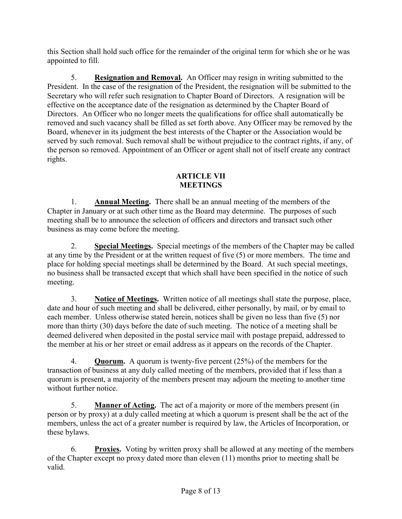this Section shall hold such office for the remainder of the original term for which she or he was appointed to fill.

5. Resignation and Removal. An Officer may resign in writing submitted to the President. In the case of the resignation of the President, the resignation will be submitted to the Secretary who will refer such resignation to Chapter Board of Directors. A resignation will be effective on the acceptance date of the resignation as determined by the Chapter Board of Directors. An Officer who no longer meets the qualifications for office shall automatically be removed and such vacancy shall be filled as set forth above. Any Officer may be removed by the Board, whenever in its judgment the best interests of the Chapter or the Association would be served by such removal. Such removal shall be without prejudice to the contract rights, if any, of the person so removed. Appointment of an Officer or agent shall not of itself create any contract rights.

# ARTICLE VII **MEETINGS**

1. Annual Meeting. There shall be an annual meeting of the members of the Chapter in January or at such other time as the Board may determine. The purposes of such meeting shall be to announce the selection of officers and directors and transact such other business as may come before the meeting.

2. Special Meetings. Special meetings of the members of the Chapter may be called at any time by the President or at the written request of five (5) or more members. The time and place for holding special meetings shall be determined by the Board. At such special meetings, no business shall be transacted except that which shall have been specified in the notice of such meeting.

3. Notice of Meetings. Written notice of all meetings shall state the purpose, place, date and hour of such meeting and shall be delivered, either personally, by mail, or by email to each member. Unless otherwise stated herein, notices shall be given no less than five (5) nor more than thirty (30) days before the date of such meeting. The notice of a meeting shall be deemed delivered when deposited in the postal service mail with postage prepaid, addressed to the member at his or her street or email address as it appears on the records of the Chapter.

4. Quorum. A quorum is twenty-five percent (25%) of the members for the transaction of business at any duly called meeting of the members, provided that if less than a quorum is present, a majority of the members present may adjourn the meeting to another time without further notice.

5. Manner of Acting. The act of a majority or more of the members present (in person or by proxy) at a duly called meeting at which a quorum is present shall be the act of the members, unless the act of a greater number is required by law, the Articles of Incorporation, or these bylaws.

6. Proxies. Voting by written proxy shall be allowed at any meeting of the members of the Chapter except no proxy dated more than eleven (11) months prior to meeting shall be valid.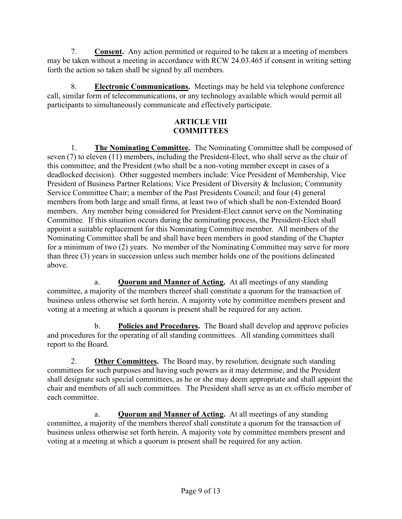7. Consent. Any action permitted or required to be taken at a meeting of members may be taken without a meeting in accordance with RCW 24.03.465 if consent in writing setting forth the action so taken shall be signed by all members.

8. Electronic Communications. Meetings may be held via telephone conference call, similar form of telecommunications, or any technology available which would permit all participants to simultaneously communicate and effectively participate.

# ARTICLE VIII **COMMITTEES**

1. The Nominating Committee. The Nominating Committee shall be composed of seven (7) to eleven (11) members, including the President-Elect, who shall serve as the chair of this committee; and the President (who shall be a non-voting member except in cases of a deadlocked decision). Other suggested members include: Vice President of Membership, Vice President of Business Partner Relations; Vice President of Diversity & Inclusion; Community Service Committee Chair; a member of the Past Presidents Council; and four (4) general members from both large and small firms, at least two of which shall be non-Extended Board members. Any member being considered for President-Elect cannot serve on the Nominating Committee. If this situation occurs during the nominating process, the President-Elect shall appoint a suitable replacement for this Nominating Committee member. All members of the Nominating Committee shall be and shall have been members in good standing of the Chapter for a minimum of two (2) years. No member of the Nominating Committee may serve for more than three (3) years in succession unless such member holds one of the positions delineated above.

a. Quorum and Manner of Acting. At all meetings of any standing committee, a majority of the members thereof shall constitute a quorum for the transaction of business unless otherwise set forth herein. A majority vote by committee members present and voting at a meeting at which a quorum is present shall be required for any action.

b. Policies and Procedures. The Board shall develop and approve policies and procedures for the operating of all standing committees. All standing committees shall report to the Board.

2. **Other Committees.** The Board may, by resolution, designate such standing committees for such purposes and having such powers as it may determine, and the President shall designate such special committees, as he or she may deem appropriate and shall appoint the chair and members of all such committees. The President shall serve as an ex officio member of each committee.

a. **Quorum and Manner of Acting.** At all meetings of any standing committee, a majority of the members thereof shall constitute a quorum for the transaction of business unless otherwise set forth herein. A majority vote by committee members present and voting at a meeting at which a quorum is present shall be required for any action.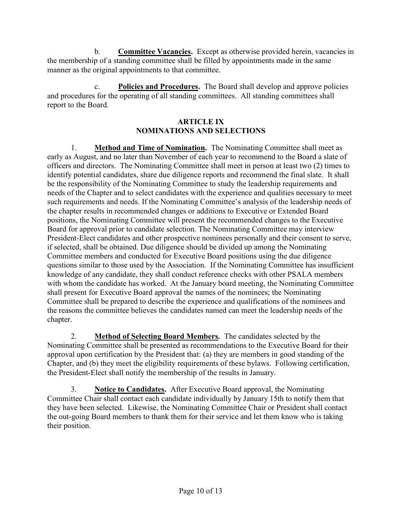b. Committee Vacancies. Except as otherwise provided herein, vacancies in the membership of a standing committee shall be filled by appointments made in the same manner as the original appointments to that committee.

c. Policies and Procedures. The Board shall develop and approve policies and procedures for the operating of all standing committees. All standing committees shall report to the Board.

# ARTICLE IX NOMINATIONS AND SELECTIONS

1. Method and Time of Nomination. The Nominating Committee shall meet as early as August, and no later than November of each year to recommend to the Board a slate of officers and directors. The Nominating Committee shall meet in person at least two (2) times to identify potential candidates, share due diligence reports and recommend the final slate. It shall be the responsibility of the Nominating Committee to study the leadership requirements and needs of the Chapter and to select candidates with the experience and qualities necessary to meet such requirements and needs. If the Nominating Committee's analysis of the leadership needs of the chapter results in recommended changes or additions to Executive or Extended Board positions, the Nominating Committee will present the recommended changes to the Executive Board for approval prior to candidate selection. The Nominating Committee may interview President-Elect candidates and other prospective nominees personally and their consent to serve, if selected, shall be obtained. Due diligence should be divided up among the Nominating Committee members and conducted for Executive Board positions using the due diligence questions similar to those used by the Association. If the Nominating Committee has insufficient knowledge of any candidate, they shall conduct reference checks with other PSALA members with whom the candidate has worked. At the January board meeting, the Nominating Committee shall present for Executive Board approval the names of the nominees; the Nominating Committee shall be prepared to describe the experience and qualifications of the nominees and the reasons the committee believes the candidates named can meet the leadership needs of the chapter.

2. Method of Selecting Board Members. The candidates selected by the Nominating Committee shall be presented as recommendations to the Executive Board for their approval upon certification by the President that: (a) they are members in good standing of the Chapter, and (b) they meet the eligibility requirements of these bylaws. Following certification, the President-Elect shall notify the membership of the results in January.

3. Notice to Candidates. After Executive Board approval, the Nominating Committee Chair shall contact each candidate individually by January 15th to notify them that they have been selected. Likewise, the Nominating Committee Chair or President shall contact the out-going Board members to thank them for their service and let them know who is taking their position.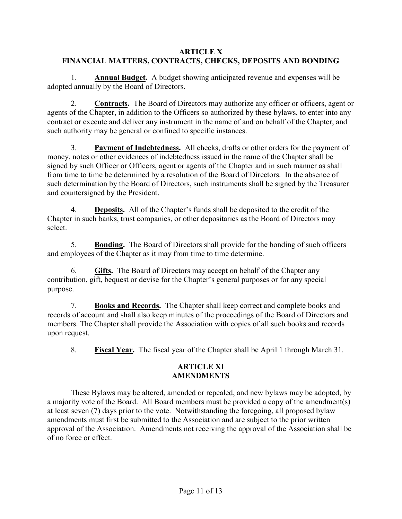## ARTICLE X FINANCIAL MATTERS, CONTRACTS, CHECKS, DEPOSITS AND BONDING

1. Annual Budget. A budget showing anticipated revenue and expenses will be adopted annually by the Board of Directors.

2. Contracts. The Board of Directors may authorize any officer or officers, agent or agents of the Chapter, in addition to the Officers so authorized by these bylaws, to enter into any contract or execute and deliver any instrument in the name of and on behalf of the Chapter, and such authority may be general or confined to specific instances.

3. Payment of Indebtedness. All checks, drafts or other orders for the payment of money, notes or other evidences of indebtedness issued in the name of the Chapter shall be signed by such Officer or Officers, agent or agents of the Chapter and in such manner as shall from time to time be determined by a resolution of the Board of Directors. In the absence of such determination by the Board of Directors, such instruments shall be signed by the Treasurer and countersigned by the President.

4. **Deposits.** All of the Chapter's funds shall be deposited to the credit of the Chapter in such banks, trust companies, or other depositaries as the Board of Directors may select.

5. Bonding. The Board of Directors shall provide for the bonding of such officers and employees of the Chapter as it may from time to time determine.

6. Gifts. The Board of Directors may accept on behalf of the Chapter any contribution, gift, bequest or devise for the Chapter's general purposes or for any special purpose.

7. Books and Records. The Chapter shall keep correct and complete books and records of account and shall also keep minutes of the proceedings of the Board of Directors and members. The Chapter shall provide the Association with copies of all such books and records upon request.

8. Fiscal Year. The fiscal year of the Chapter shall be April 1 through March 31.

# ARTICLE XI AMENDMENTS

These Bylaws may be altered, amended or repealed, and new bylaws may be adopted, by a majority vote of the Board. All Board members must be provided a copy of the amendment(s) at least seven (7) days prior to the vote. Notwithstanding the foregoing, all proposed bylaw amendments must first be submitted to the Association and are subject to the prior written approval of the Association. Amendments not receiving the approval of the Association shall be of no force or effect.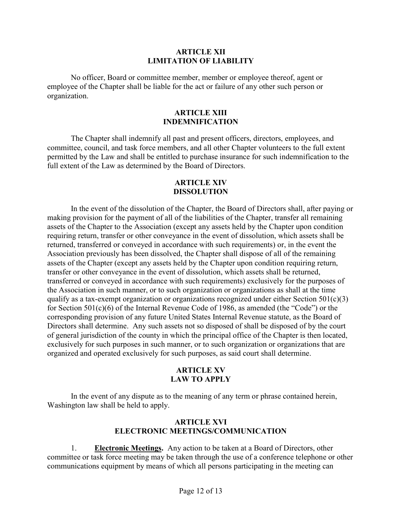#### ARTICLE XII LIMITATION OF LIABILITY

No officer, Board or committee member, member or employee thereof, agent or employee of the Chapter shall be liable for the act or failure of any other such person or organization.

#### ARTICLE XIII INDEMNIFICATION

The Chapter shall indemnify all past and present officers, directors, employees, and committee, council, and task force members, and all other Chapter volunteers to the full extent permitted by the Law and shall be entitled to purchase insurance for such indemnification to the full extent of the Law as determined by the Board of Directors.

### ARTICLE XIV DISSOLUTION

In the event of the dissolution of the Chapter, the Board of Directors shall, after paying or making provision for the payment of all of the liabilities of the Chapter, transfer all remaining assets of the Chapter to the Association (except any assets held by the Chapter upon condition requiring return, transfer or other conveyance in the event of dissolution, which assets shall be returned, transferred or conveyed in accordance with such requirements) or, in the event the Association previously has been dissolved, the Chapter shall dispose of all of the remaining assets of the Chapter (except any assets held by the Chapter upon condition requiring return, transfer or other conveyance in the event of dissolution, which assets shall be returned, transferred or conveyed in accordance with such requirements) exclusively for the purposes of the Association in such manner, or to such organization or organizations as shall at the time qualify as a tax-exempt organization or organizations recognized under either Section  $501(c)(3)$ for Section 501(c)(6) of the Internal Revenue Code of 1986, as amended (the "Code") or the corresponding provision of any future United States Internal Revenue statute, as the Board of Directors shall determine. Any such assets not so disposed of shall be disposed of by the court of general jurisdiction of the county in which the principal office of the Chapter is then located, exclusively for such purposes in such manner, or to such organization or organizations that are organized and operated exclusively for such purposes, as said court shall determine.

# ARTICLE XV LAW TO APPLY

In the event of any dispute as to the meaning of any term or phrase contained herein, Washington law shall be held to apply.

# ARTICLE XVI ELECTRONIC MEETINGS/COMMUNICATION

1. Electronic Meetings. Any action to be taken at a Board of Directors, other committee or task force meeting may be taken through the use of a conference telephone or other communications equipment by means of which all persons participating in the meeting can